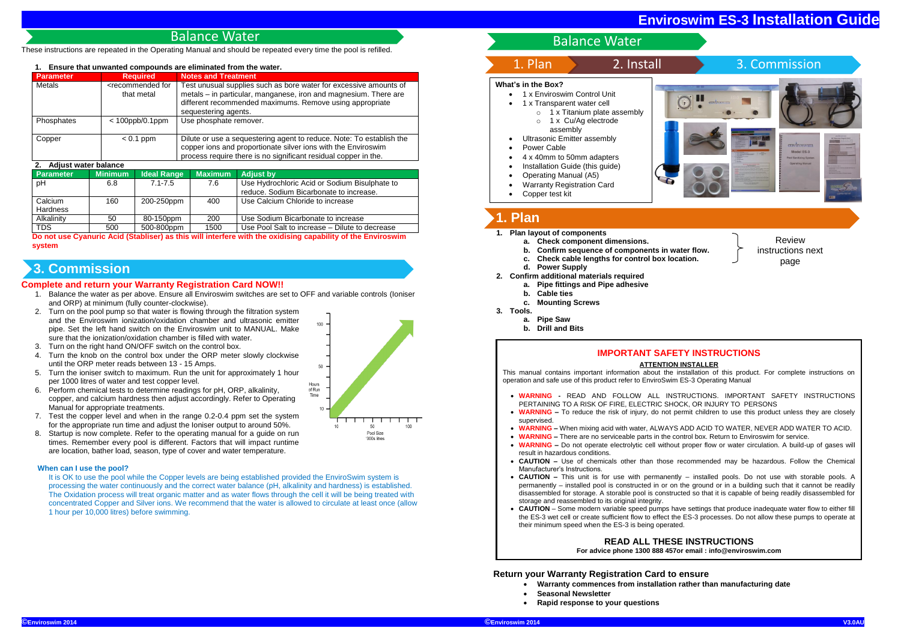These instructions are repeated in the Operating Manual and should be repeated every time the pool is refilled.

### **1. Ensure that unwanted compounds are eliminated from the water.**

| <b>Parameter</b> | <b>Required</b>                                 | <b>Notes and Treatment</b>                                                                                                                                                                                                |
|------------------|-------------------------------------------------|---------------------------------------------------------------------------------------------------------------------------------------------------------------------------------------------------------------------------|
| Metals           | <recommended for<br="">that metal</recommended> | Test unusual supplies such as bore water for excessive amounts of<br>metals – in particular, manganese, iron and magnesium. There are<br>different recommended maximums. Remove using appropriate<br>sequestering agents. |
| Phosphates       | $< 100$ ppb/0.1ppm                              | Use phosphate remover.                                                                                                                                                                                                    |
| Copper           | $< 0.1$ ppm                                     | Dilute or use a sequestering agent to reduce. Note: To establish the<br>copper ions and proportionate silver ions with the Enviroswim<br>process require there is no significant residual copper in the.                  |

#### **2. Adjust water balance**

| <b>4. AGNOS WAG DAMIG</b> |                |                    |                |                                                |  |  |
|---------------------------|----------------|--------------------|----------------|------------------------------------------------|--|--|
| <b>Parameter</b>          | <b>Minimum</b> | <b>Ideal Range</b> | <b>Maximum</b> | <b>Adjust by</b>                               |  |  |
| pH                        | 6.8            | $7.1 - 7.5$        | 7.6            | Use Hydrochloric Acid or Sodium Bisulphate to  |  |  |
|                           |                |                    |                | reduce. Sodium Bicarbonate to increase.        |  |  |
| Calcium                   | 160            | 200-250ppm         | 400            | Use Calcium Chloride to increase               |  |  |
| <b>Hardness</b>           |                |                    |                |                                                |  |  |
| Alkalinity                | 50             | 80-150ppm          | 200            | Use Sodium Bicarbonate to increase             |  |  |
| TDS                       | 500            | 500-800ppm         | 1500           | Use Pool Salt to increase - Dilute to decrease |  |  |

**Do not use Cyanuric Acid (Stabliser) as this will interfere with the oxidising capability of the Enviroswim system**

### **Complete and return your Warranty Registration Card NOW!!**

- 1. Balance the water as per above. Ensure all Enviroswim switches are set to OFF and variable controls (Ioniser and ORP) at minimum (fully counter-clockwise).
- 2. Turn on the pool pump so that water is flowing through the filtration system and the Enviroswim ionization/oxidation chamber and ultrasonic emitter pipe. Set the left hand switch on the Enviroswim unit to MANUAL. Make sure that the ionization/oxidation chamber is filled with water.
- Turn on the right hand ON/OFF switch on the control box.
- 4. Turn the knob on the control box under the ORP meter slowly clockwise until the ORP meter reads between 13 - 15 Amps.
- 5. Turn the ioniser switch to maximum. Run the unit for approximately 1 hour per 1000 litres of water and test copper level.
- 6. Perform chemical tests to determine readings for pH, ORP, alkalinity, copper, and calcium hardness then adjust accordingly. Refer to Operating Manual for appropriate treatments.
- 7. Test the copper level and when in the range 0.2-0.4 ppm set the system for the appropriate run time and adjust the Ioniser output to around 50%.
- 8. Startup is now complete. Refer to the operating manual for a guide on run times. Remember every pool is different. Factors that will impact runtime are location, bather load, season, type of cover and water temperature.

### **When can I use the pool?**

- 1 x Enviroswim Control Unit
- 1 x Transparent water cell
	- o 1 x Titanium plate assembly
	- o 1 x Cu/Ag electrode assembly
- Ultrasonic Emitter assembly
- Power Cable
- 4 x 40mm to 50mm adapters
- Installation Guide (this guide)
- Operating Manual (A5)
- Warranty Registration Card
- Copper test kit



It is OK to use the pool while the Copper levels are being established provided the EnviroSwim system is processing the water continuously and the correct water balance (pH, alkalinity and hardness) is established. The Oxidation process will treat organic matter and as water flows through the cell it will be being treated with concentrated Copper and Silver ions. We recommend that the water is allowed to circulate at least once (allow 1 hour per 10,000 litres) before swimming.



- **1. Plan layout of components**
	- **a. Check component dimensions.**
	- **b. Confirm sequence of components in water flow.**
	- **c. Check cable lengths for control box location.**
	- **d. Power Supply**
- **2. Confirm additional materials required**
- **a. Pipe fittings and Pipe adhesive**
- **b. Cable ties**
	- **c. Mounting Screws**
- **3. Tools.**
	- **a. Pipe Saw**
	- **b. Drill and Bits**

**Return your Warranty Registration Card to ensure** 

- **Warranty commences from installation rather than manufacturing date**
	- **Seasonal Newsletter**
- **Rapid response to your questions**

## Balance Water

# **3. Commission**

# Balance Water



# **1. Plan**

### **IMPORTANT SAFETY INSTRUCTIONS**

#### **ATTENTION INSTALLER**

This manual contains important information about the installation of this product. For complete instructions on operation and safe use of this product refer to EnviroSwim ES-3 Operating Manual

 **WARNING -** READ AND FOLLOW ALL INSTRUCTIONS. IMPORTANT SAFETY INSTRUCTIONS **WARNING –** To reduce the risk of injury, do not permit children to use this product unless they are closely

 **WARNING –** When mixing acid with water, ALWAYS ADD ACID TO WATER, NEVER ADD WATER TO ACID. **WARNING –** There are no serviceable parts in the control box. Return to Enviroswim for service. **WARNING –** Do not operate electrolytic cell without proper flow or water circulation. A build-up of gases will

**CAUTION –** Use of chemicals other than those recommended may be hazardous. Follow the Chemical

- PERTAINING TO A RISK OF FIRE, ELECTRIC SHOCK, OR INJURY TO PERSONS
- supervised.
- 
- 
- result in hazardous conditions.
- Manufacturer's Instructions.
- storage and reassembled to its original integrity.
- their minimum speed when the ES-3 is being operated.

 **CAUTION –** This unit is for use with permanently – installed pools. Do not use with storable pools. A permanently – installed pool is constructed in or on the ground or in a building such that it cannot be readily disassembled for storage. A storable pool is constructed so that it is capable of being readily disassembled for

 **CAUTION** – Some modern variable speed pumps have settings that produce inadequate water flow to either fill the ES-3 wet cell or create sufficient flow to effect the ES-3 processes. Do not allow these pumps to operate at

**READ ALL THESE INSTRUCTIONS For advice phone 1300 888 457or email : info@enviroswim.com**

### **What's in the Box?**

page